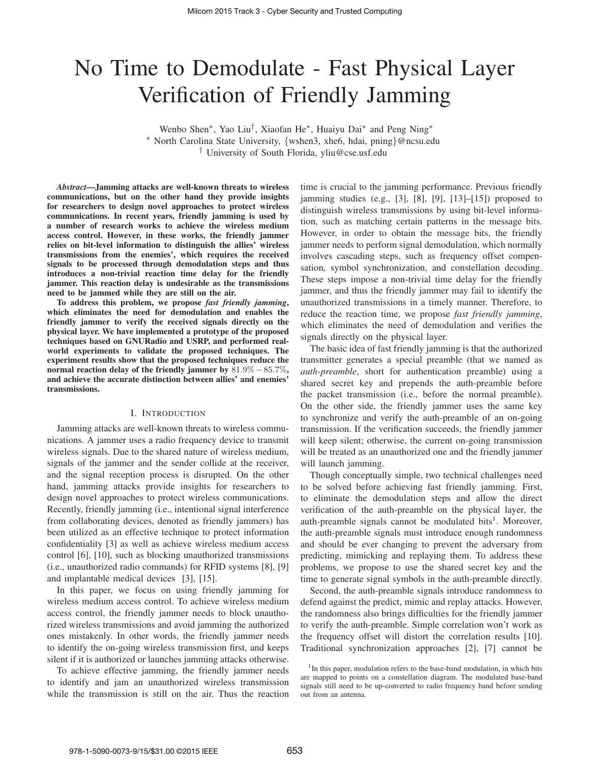# No Time to Demodulate - Fast Physical Layer Verification of Friendly Jamming

Wenbo Shen∗, Yao Liu†, Xiaofan He∗, Huaiyu Dai∗ and Peng Ning∗ ∗ North Carolina State University, {wshen3, xhe6, hdai, pning}@ncsu.edu † University of South Florida, yliu@cse.usf.edu

*Abstract*—Jamming attacks are well-known threats to wireless communications, but on the other hand they provide insights for researchers to design novel approaches to protect wireless communications. In recent years, friendly jamming is used by a number of research works to achieve the wireless medium access control. However, in these works, the friendly jammer relies on bit-level information to distinguish the allies' wireless transmissions from the enemies', which requires the received signals to be processed through demodulation steps and thus introduces a non-trivial reaction time delay for the friendly jammer. This reaction delay is undesirable as the transmissions need to be jammed while they are still on the air.

To address this problem, we propose *fast friendly jamming*, which eliminates the need for demodulation and enables the friendly jammer to verify the received signals directly on the physical layer. We have implemented a prototype of the proposed techniques based on GNURadio and USRP, and performed realworld experiments to validate the proposed techniques. The experiment results show that the proposed techniques reduce the normal reaction delay of the friendly jammer by 81.9% − 85.7%, and achieve the accurate distinction between allies' and enemies' transmissions.

## I. INTRODUCTION

Jamming attacks are well-known threats to wireless communications. A jammer uses a radio frequency device to transmit wireless signals. Due to the shared nature of wireless medium, signals of the jammer and the sender collide at the receiver, and the signal reception process is disrupted. On the other hand, jamming attacks provide insights for researchers to design novel approaches to protect wireless communications. Recently, friendly jamming (i.e., intentional signal interference from collaborating devices, denoted as friendly jammers) has been utilized as an effective technique to protect information confidentiality [3] as well as achieve wireless medium access control [6], [10], such as blocking unauthorized transmissions (i.e., unauthorized radio commands) for RFID systems [8], [9] and implantable medical devices [3], [15].

In this paper, we focus on using friendly jamming for wireless medium access control. To achieve wireless medium access control, the friendly jammer needs to block unauthorized wireless transmissions and avoid jamming the authorized ones mistakenly. In other words, the friendly jammer needs to identify the on-going wireless transmission first, and keeps silent if it is authorized or launches jamming attacks otherwise.

To achieve effective jamming, the friendly jammer needs to identify and jam an unauthorized wireless transmission while the transmission is still on the air. Thus the reaction

time is crucial to the jamming performance. Previous friendly jamming studies (e.g., [3], [8], [9], [13]–[15]) proposed to distinguish wireless transmissions by using bit-level information, such as matching certain patterns in the message bits. However, in order to obtain the message bits, the friendly jammer needs to perform signal demodulation, which normally involves cascading steps, such as frequency offset compensation, symbol synchronization, and constellation decoding. These steps impose a non-trivial time delay for the friendly jammer, and thus the friendly jammer may fail to identify the unauthorized transmissions in a timely manner. Therefore, to reduce the reaction time, we propose *fast friendly jamming*, which eliminates the need of demodulation and verifies the signals directly on the physical layer.

The basic idea of fast friendly jamming is that the authorized transmitter generates a special preamble (that we named as *auth-preamble*, short for authentication preamble) using a shared secret key and prepends the auth-preamble before the packet transmission (i.e., before the normal preamble). On the other side, the friendly jammer uses the same key to synchronize and verify the auth-preamble of an on-going transmission. If the verification succeeds, the friendly jammer will keep silent; otherwise, the current on-going transmission will be treated as an unauthorized one and the friendly jammer will launch jamming.

Though conceptually simple, two technical challenges need to be solved before achieving fast friendly jamming. First, to eliminate the demodulation steps and allow the direct verification of the auth-preamble on the physical layer, the auth-preamble signals cannot be modulated bits<sup>1</sup>. Moreover, the auth-preamble signals must introduce enough randomness and should be ever changing to prevent the adversary from predicting, mimicking and replaying them. To address these problems, we propose to use the shared secret key and the time to generate signal symbols in the auth-preamble directly.

Second, the auth-preamble signals introduce randomness to defend against the predict, mimic and replay attacks. However, the randomness also brings difficulties for the friendly jammer to verify the auth-preamble. Simple correlation won't work as the frequency offset will distort the correlation results [10]. Traditional synchronization approaches [2], [7] cannot be

 $1$ In this paper, modulation refers to the base-band modulation, in which bits are mapped to points on a constellation diagram. The modulated base-band signals still need to be up-converted to radio frequency band before sending out from an antenna.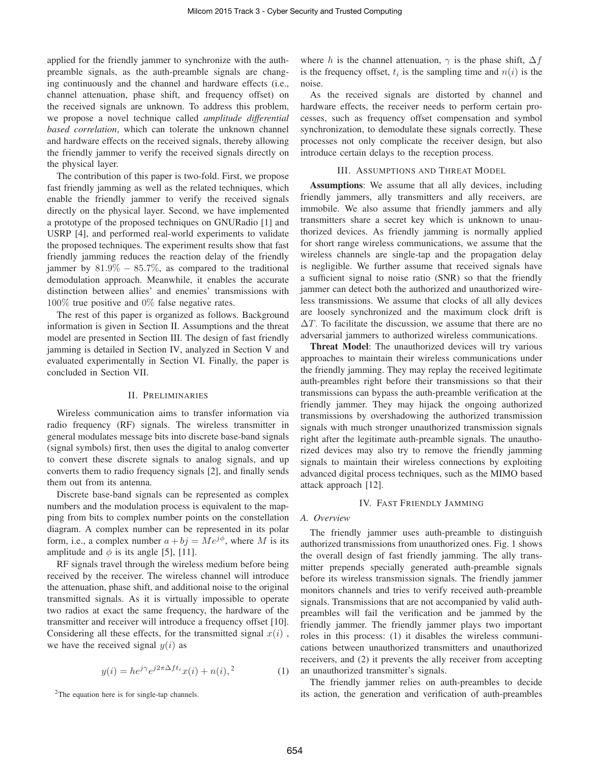applied for the friendly jammer to synchronize with the authpreamble signals, as the auth-preamble signals are changing continuously and the channel and hardware effects (i.e., channel attenuation, phase shift, and frequency offset) on the received signals are unknown. To address this problem, we propose a novel technique called *amplitude differential based correlation*, which can tolerate the unknown channel and hardware effects on the received signals, thereby allowing the friendly jammer to verify the received signals directly on the physical layer.

The contribution of this paper is two-fold. First, we propose fast friendly jamming as well as the related techniques, which enable the friendly jammer to verify the received signals directly on the physical layer. Second, we have implemented a prototype of the proposed techniques on GNURadio [1] and USRP [4], and performed real-world experiments to validate the proposed techniques. The experiment results show that fast friendly jamming reduces the reaction delay of the friendly jammer by  $81.9\% - 85.7\%$ , as compared to the traditional demodulation approach. Meanwhile, it enables the accurate distinction between allies' and enemies' transmissions with 100% true positive and 0% false negative rates.

The rest of this paper is organized as follows. Background information is given in Section II. Assumptions and the threat model are presented in Section III. The design of fast friendly jamming is detailed in Section IV, analyzed in Section V and evaluated experimentally in Section VI. Finally, the paper is concluded in Section VII.

## II. PRELIMINARIES

Wireless communication aims to transfer information via radio frequency (RF) signals. The wireless transmitter in general modulates message bits into discrete base-band signals (signal symbols) first, then uses the digital to analog converter to convert these discrete signals to analog signals, and up converts them to radio frequency signals [2], and finally sends them out from its antenna.

Discrete base-band signals can be represented as complex numbers and the modulation process is equivalent to the mapping from bits to complex number points on the constellation diagram. A complex number can be represented in its polar form, i.e., a complex number  $a + bj = Me^{j\phi}$ , where M is its amplitude and  $\phi$  is its angle [5], [11].

RF signals travel through the wireless medium before being received by the receiver. The wireless channel will introduce the attenuation, phase shift, and additional noise to the original transmitted signals. As it is virtually impossible to operate two radios at exact the same frequency, the hardware of the transmitter and receiver will introduce a frequency offset [10]. Considering all these effects, for the transmitted signal  $x(i)$ , we have the received signal  $y(i)$  as

$$
y(i) = he^{j\gamma}e^{j2\pi\Delta ft_i}x(i) + n(i),
$$
<sup>2</sup> (1)

where h is the channel attenuation,  $\gamma$  is the phase shift,  $\Delta f$ is the frequency offset,  $t_i$  is the sampling time and  $n(i)$  is the noise.

As the received signals are distorted by channel and hardware effects, the receiver needs to perform certain processes, such as frequency offset compensation and symbol synchronization, to demodulate these signals correctly. These processes not only complicate the receiver design, but also introduce certain delays to the reception process.

## III. ASSUMPTIONS AND THREAT MODEL

Assumptions: We assume that all ally devices, including friendly jammers, ally transmitters and ally receivers, are immobile. We also assume that friendly jammers and ally transmitters share a secret key which is unknown to unauthorized devices. As friendly jamming is normally applied for short range wireless communications, we assume that the wireless channels are single-tap and the propagation delay is negligible. We further assume that received signals have a sufficient signal to noise ratio (SNR) so that the friendly jammer can detect both the authorized and unauthorized wireless transmissions. We assume that clocks of all ally devices are loosely synchronized and the maximum clock drift is  $\Delta T$ . To facilitate the discussion, we assume that there are no adversarial jammers to authorized wireless communications.

Threat Model: The unauthorized devices will try various approaches to maintain their wireless communications under the friendly jamming. They may replay the received legitimate auth-preambles right before their transmissions so that their transmissions can bypass the auth-preamble verification at the friendly jammer. They may hijack the ongoing authorized transmissions by overshadowing the authorized transmission signals with much stronger unauthorized transmission signals right after the legitimate auth-preamble signals. The unauthorized devices may also try to remove the friendly jamming signals to maintain their wireless connections by exploiting advanced digital process techniques, such as the MIMO based attack approach [12].

## IV. FAST FRIENDLY JAMMING

#### *A. Overview*

The friendly jammer uses auth-preamble to distinguish authorized transmissions from unauthorized ones. Fig. 1 shows the overall design of fast friendly jamming. The ally transmitter prepends specially generated auth-preamble signals before its wireless transmission signals. The friendly jammer monitors channels and tries to verify received auth-preamble signals. Transmissions that are not accompanied by valid authpreambles will fail the verification and be jammed by the friendly jammer. The friendly jammer plays two important roles in this process: (1) it disables the wireless communications between unauthorized transmitters and unauthorized receivers, and (2) it prevents the ally receiver from accepting an unauthorized transmitter's signals.

The friendly jammer relies on auth-preambles to decide its action, the generation and verification of auth-preambles

<sup>2</sup>The equation here is for single-tap channels.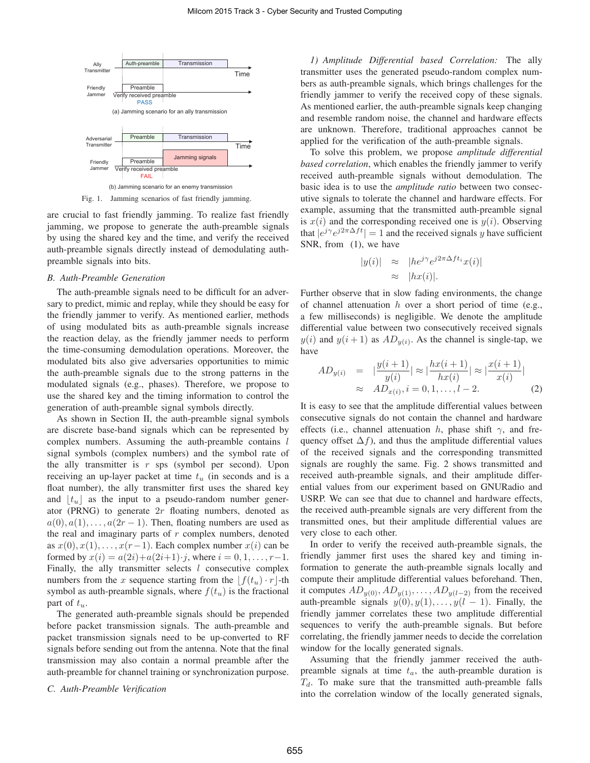

Fig. 1. Jamming scenarios of fast friendly jamming.

are crucial to fast friendly jamming. To realize fast friendly jamming, we propose to generate the auth-preamble signals by using the shared key and the time, and verify the received auth-preamble signals directly instead of demodulating authpreamble signals into bits.

#### *B. Auth-Preamble Generation*

The auth-preamble signals need to be difficult for an adversary to predict, mimic and replay, while they should be easy for the friendly jammer to verify. As mentioned earlier, methods of using modulated bits as auth-preamble signals increase the reaction delay, as the friendly jammer needs to perform the time-consuming demodulation operations. Moreover, the modulated bits also give adversaries opportunities to mimic the auth-preamble signals due to the strong patterns in the modulated signals (e.g., phases). Therefore, we propose to use the shared key and the timing information to control the generation of auth-preamble signal symbols directly.

As shown in Section II, the auth-preamble signal symbols are discrete base-band signals which can be represented by complex numbers. Assuming the auth-preamble contains l signal symbols (complex numbers) and the symbol rate of the ally transmitter is  $r$  sps (symbol per second). Upon receiving an up-layer packet at time  $t<sub>u</sub>$  (in seconds and is a float number), the ally transmitter first uses the shared key and  $\lfloor t_u \rfloor$  as the input to a pseudo-random number gener-<br>ator (PRNG) to generate  $2r$  floating numbers denoted as ator (PRNG) to generate  $2r$  floating numbers, denoted as  $a(0), a(1), \ldots, a(2r-1)$ . Then, floating numbers are used as the real and imaginary parts of  $r$  complex numbers, denoted as  $x(0), x(1), \ldots, x(r-1)$ . Each complex number  $x(i)$  can be formed by  $x(i) = a(2i)+a(2i+1)\cdot j$ , where  $i = 0, 1, ..., r-1$ . Finally, the ally transmitter selects  $l$  consecutive complex numbers from the x sequence starting from the  $[f(t_u) \cdot r]$ -th symbol as auth-preamble signals, where  $f(t_n)$  is the fractional symbol as auth-preamble signals, where  $f(t<sub>u</sub>)$  is the fractional part of  $t_u$ .

The generated auth-preamble signals should be prepended before packet transmission signals. The auth-preamble and packet transmission signals need to be up-converted to RF signals before sending out from the antenna. Note that the final transmission may also contain a normal preamble after the auth-preamble for channel training or synchronization purpose.

## *C. Auth-Preamble Verification*

*1) Amplitude Differential based Correlation:* The ally transmitter uses the generated pseudo-random complex numbers as auth-preamble signals, which brings challenges for the friendly jammer to verify the received copy of these signals. As mentioned earlier, the auth-preamble signals keep changing and resemble random noise, the channel and hardware effects are unknown. Therefore, traditional approaches cannot be applied for the verification of the auth-preamble signals.

To solve this problem, we propose *amplitude differential based correlation*, which enables the friendly jammer to verify received auth-preamble signals without demodulation. The basic idea is to use the *amplitude ratio* between two consecutive signals to tolerate the channel and hardware effects. For example, assuming that the transmitted auth-preamble signal is  $x(i)$  and the corresponding received one is  $y(i)$ . Observing that  $|e^{j\gamma}e^{j2\pi\Delta ft}| = 1$  and the received signals y have sufficient SNR, from (1), we have

$$
|y(i)| \approx |he^{j\gamma}e^{j2\pi\Delta ft_i}x(i)|
$$
  

$$
\approx |hx(i)|.
$$

Further observe that in slow fading environments, the change of channel attenuation  $h$  over a short period of time (e.g., a few milliseconds) is negligible. We denote the amplitude differential value between two consecutively received signals  $y(i)$  and  $y(i+1)$  as  $AD_{y(i)}$ . As the channel is single-tap, we have

$$
AD_{y(i)} = |\frac{y(i+1)}{y(i)}| \approx |\frac{hx(i+1)}{hx(i)}| \approx |\frac{x(i+1)}{x(i)}|
$$
  
  $\approx AD_{x(i)}, i = 0, 1, ..., l-2.$  (2)

It is easy to see that the amplitude differential values between consecutive signals do not contain the channel and hardware effects (i.e., channel attenuation h, phase shift  $\gamma$ , and frequency offset  $\Delta f$ ), and thus the amplitude differential values of the received signals and the corresponding transmitted signals are roughly the same. Fig. 2 shows transmitted and received auth-preamble signals, and their amplitude differential values from our experiment based on GNURadio and USRP. We can see that due to channel and hardware effects, the received auth-preamble signals are very different from the transmitted ones, but their amplitude differential values are very close to each other.

In order to verify the received auth-preamble signals, the friendly jammer first uses the shared key and timing information to generate the auth-preamble signals locally and compute their amplitude differential values beforehand. Then, it computes  $AD_{y(0)}, AD_{y(1)}, \ldots, AD_{y(l-2)}$  from the received auth-preamble signals  $y(0), y(1), \ldots, y(l-1)$ . Finally, the friendly jammer correlates these two amplitude differential sequences to verify the auth-preamble signals. But before correlating, the friendly jammer needs to decide the correlation window for the locally generated signals.

Assuming that the friendly jammer received the authpreamble signals at time  $t_a$ , the auth-preamble duration is  $T<sub>d</sub>$ . To make sure that the transmitted auth-preamble falls into the correlation window of the locally generated signals,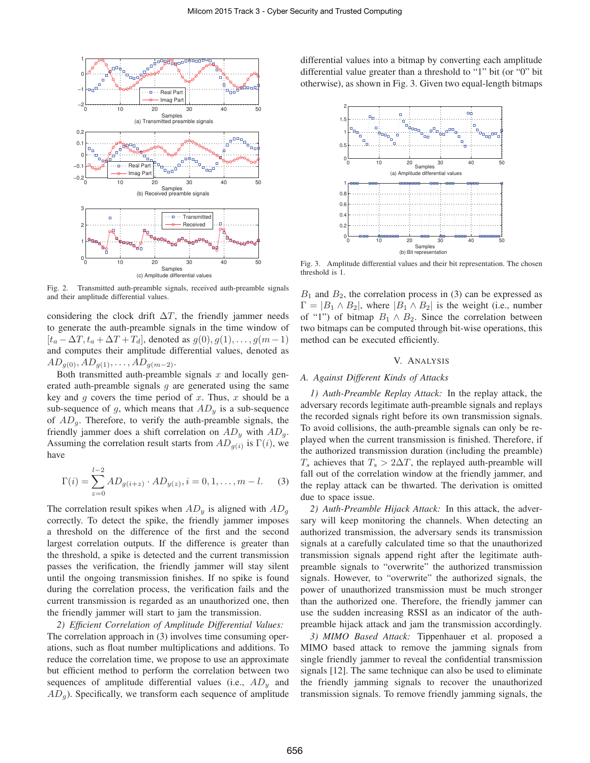

Fig. 2. Transmitted auth-preamble signals, received auth-preamble signals and their amplitude differential values.

considering the clock drift  $\Delta T$ , the friendly jammer needs to generate the auth-preamble signals in the time window of  $[t_a - \Delta T, t_a + \Delta T + T_d]$ , denoted as  $g(0), g(1), \ldots, g(m-1)$ and computes their amplitude differential values, denoted as  $AD_{q(0)}, AD_{q(1)}, \ldots, AD_{q(m-2)}$ .

Both transmitted auth-preamble signals  $x$  and locally generated auth-preamble signals  $q$  are generated using the same key and  $g$  covers the time period of  $x$ . Thus,  $x$  should be a sub-sequence of g, which means that  $AD<sub>y</sub>$  is a sub-sequence of  $AD<sub>q</sub>$ . Therefore, to verify the auth-preamble signals, the friendly jammer does a shift correlation on  $AD_y$  with  $AD_g$ . Assuming the correlation result starts from  $AD_{g(i)}$  is  $\Gamma(i)$ , we have

$$
\Gamma(i) = \sum_{z=0}^{l-2} AD_{g(i+z)} \cdot AD_{y(z)}, i = 0, 1, \dots, m-l.
$$
 (3)

The correlation result spikes when  $AD<sub>y</sub>$  is aligned with  $AD<sub>q</sub>$ correctly. To detect the spike, the friendly jammer imposes a threshold on the difference of the first and the second largest correlation outputs. If the difference is greater than the threshold, a spike is detected and the current transmission passes the verification, the friendly jammer will stay silent until the ongoing transmission finishes. If no spike is found during the correlation process, the verification fails and the current transmission is regarded as an unauthorized one, then the friendly jammer will start to jam the transmission.

*2) Efficient Correlation of Amplitude Differential Values:* The correlation approach in (3) involves time consuming operations, such as float number multiplications and additions. To reduce the correlation time, we propose to use an approximate but efficient method to perform the correlation between two sequences of amplitude differential values (i.e.,  $AD_y$  and  $AD_g$ ). Specifically, we transform each sequence of amplitude

differential values into a bitmap by converting each amplitude differential value greater than a threshold to "1" bit (or "0" bit otherwise), as shown in Fig. 3. Given two equal-length bitmaps



Fig. 3. Amplitude differential values and their bit representation. The chosen threshold is 1.

 $B_1$  and  $B_2$ , the correlation process in (3) can be expressed as  $\Gamma = |B_1 \wedge B_2|$ , where  $|B_1 \wedge B_2|$  is the weight (i.e., number of "1") of bitmap  $B_1 \wedge B_2$ . Since the correlation between two bitmaps can be computed through bit-wise operations, this method can be executed efficiently.

## V. ANALYSIS

## *A. Against Different Kinds of Attacks*

*1) Auth-Preamble Replay Attack:* In the replay attack, the adversary records legitimate auth-preamble signals and replays the recorded signals right before its own transmission signals. To avoid collisions, the auth-preamble signals can only be replayed when the current transmission is finished. Therefore, if the authorized transmission duration (including the preamble)  $T_s$  achieves that  $T_s > 2\Delta T$ , the replayed auth-preamble will fall out of the correlation window at the friendly jammer, and the replay attack can be thwarted. The derivation is omitted due to space issue.

*2) Auth-Preamble Hijack Attack:* In this attack, the adversary will keep monitoring the channels. When detecting an authorized transmission, the adversary sends its transmission signals at a carefully calculated time so that the unauthorized transmission signals append right after the legitimate authpreamble signals to "overwrite" the authorized transmission signals. However, to "overwrite" the authorized signals, the power of unauthorized transmission must be much stronger than the authorized one. Therefore, the friendly jammer can use the sudden increasing RSSI as an indicator of the authpreamble hijack attack and jam the transmission accordingly.

*3) MIMO Based Attack:* Tippenhauer et al. proposed a MIMO based attack to remove the jamming signals from single friendly jammer to reveal the confidential transmission signals [12]. The same technique can also be used to eliminate the friendly jamming signals to recover the unauthorized transmission signals. To remove friendly jamming signals, the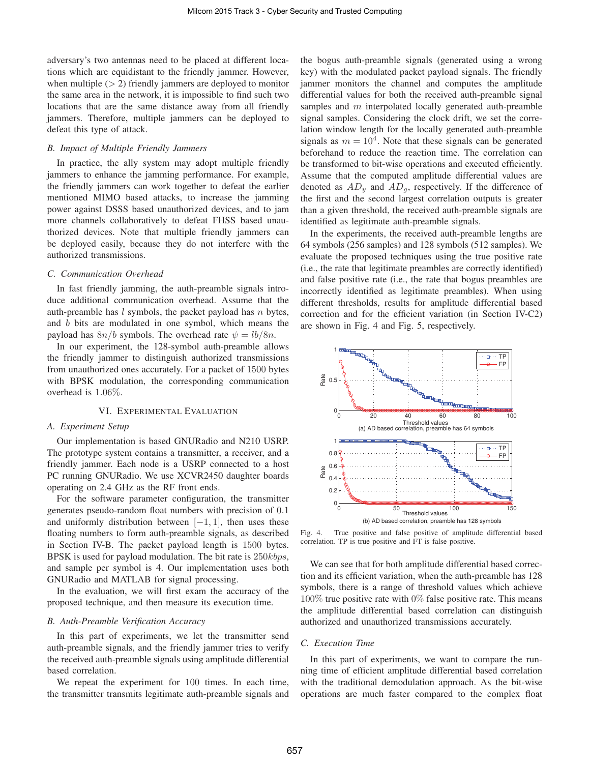adversary's two antennas need to be placed at different locations which are equidistant to the friendly jammer. However, when multiple  $(> 2)$  friendly jammers are deployed to monitor the same area in the network, it is impossible to find such two locations that are the same distance away from all friendly jammers. Therefore, multiple jammers can be deployed to defeat this type of attack.

#### *B. Impact of Multiple Friendly Jammers*

In practice, the ally system may adopt multiple friendly jammers to enhance the jamming performance. For example, the friendly jammers can work together to defeat the earlier mentioned MIMO based attacks, to increase the jamming power against DSSS based unauthorized devices, and to jam more channels collaboratively to defeat FHSS based unauthorized devices. Note that multiple friendly jammers can be deployed easily, because they do not interfere with the authorized transmissions.

### *C. Communication Overhead*

In fast friendly jamming, the auth-preamble signals introduce additional communication overhead. Assume that the auth-preamble has  $l$  symbols, the packet payload has  $n$  bytes, and b bits are modulated in one symbol, which means the payload has  $8n/b$  symbols. The overhead rate  $\psi = lb/8n$ .

In our experiment, the 128-symbol auth-preamble allows the friendly jammer to distinguish authorized transmissions from unauthorized ones accurately. For a packet of 1500 bytes with BPSK modulation, the corresponding communication overhead is <sup>1</sup>.06%.

## VI. EXPERIMENTAL EVALUATION

#### *A. Experiment Setup*

Our implementation is based GNURadio and N210 USRP. The prototype system contains a transmitter, a receiver, and a friendly jammer. Each node is a USRP connected to a host PC running GNURadio. We use XCVR2450 daughter boards operating on 2.4 GHz as the RF front ends.

For the software parameter configuration, the transmitter generates pseudo-random float numbers with precision of <sup>0</sup>.<sup>1</sup> and uniformly distribution between  $[-1, 1]$ , then uses these floating numbers to form auth-preamble signals, as described in Section IV-B. The packet payload length is 1500 bytes. BPSK is used for payload modulation. The bit rate is 250kbps, and sample per symbol is 4. Our implementation uses both GNURadio and MATLAB for signal processing.

In the evaluation, we will first exam the accuracy of the proposed technique, and then measure its execution time.

## *B. Auth-Preamble Verification Accuracy*

In this part of experiments, we let the transmitter send auth-preamble signals, and the friendly jammer tries to verify the received auth-preamble signals using amplitude differential based correlation.

We repeat the experiment for 100 times. In each time, the transmitter transmits legitimate auth-preamble signals and

the bogus auth-preamble signals (generated using a wrong key) with the modulated packet payload signals. The friendly jammer monitors the channel and computes the amplitude differential values for both the received auth-preamble signal samples and  $m$  interpolated locally generated auth-preamble signal samples. Considering the clock drift, we set the correlation window length for the locally generated auth-preamble signals as  $m = 10<sup>4</sup>$ . Note that these signals can be generated beforehand to reduce the reaction time. The correlation can be transformed to bit-wise operations and executed efficiently. Assume that the computed amplitude differential values are denoted as  $AD_y$  and  $AD_g$ , respectively. If the difference of the first and the second largest correlation outputs is greater than a given threshold, the received auth-preamble signals are identified as legitimate auth-preamble signals.

In the experiments, the received auth-preamble lengths are 64 symbols (256 samples) and 128 symbols (512 samples). We evaluate the proposed techniques using the true positive rate (i.e., the rate that legitimate preambles are correctly identified) and false positive rate (i.e., the rate that bogus preambles are incorrectly identified as legitimate preambles). When using different thresholds, results for amplitude differential based correction and for the efficient variation (in Section IV-C2) are shown in Fig. 4 and Fig. 5, respectively.



Fig. 4. True positive and false positive of amplitude differential based correlation. TP is true positive and FT is false positive.

We can see that for both amplitude differential based correction and its efficient variation, when the auth-preamble has 128 symbols, there is a range of threshold values which achieve  $100\%$  true positive rate with 0% false positive rate. This means the amplitude differential based correlation can distinguish authorized and unauthorized transmissions accurately.

## *C. Execution Time*

In this part of experiments, we want to compare the running time of efficient amplitude differential based correlation with the traditional demodulation approach. As the bit-wise operations are much faster compared to the complex float